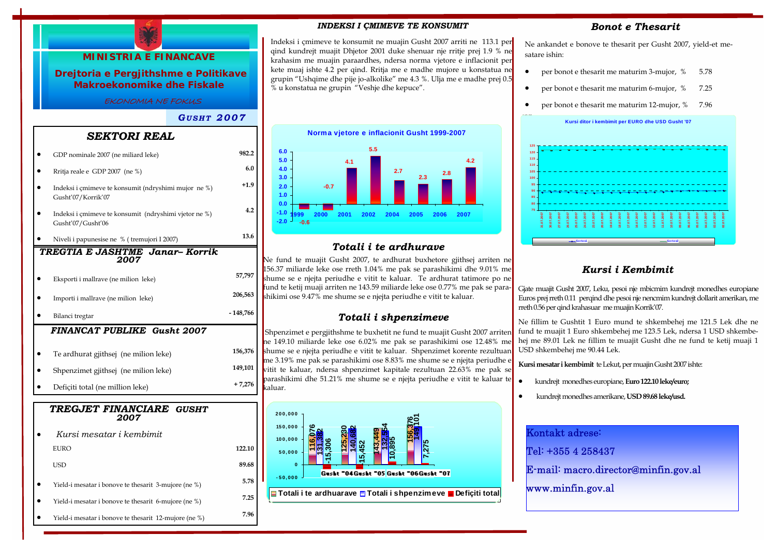

| Kursi mesatar i kembimit                              |        |
|-------------------------------------------------------|--------|
| EURO                                                  | 122.10 |
| USD                                                   | 89.68  |
| Yield-i mesatar i bonove te thesarit 3-mujore (ne %)  | 5.78   |
| Yield-i mesatar i bonove te thesarit 6-mujore (ne %)  | 7.25   |
| Yield-i mesatar i bonove te thesarit 12-mujore (ne %) | 7.96   |

### *INDEKSI I ÇMIMEVE TE KONSUMIT*

Indeksi i çmimeve te konsumit ne muajin Gusht 2007 arriti ne 113.1 per qind kundrejt muajit Dhjetor 2001 duke shenuar nje rritje prej 1.9 % ne krahasim me muajin paraardhes, ndersa norma vjetore e inflacionit per kete muaj ishte 4.2 per qind. Rritja me e madhe mujore u konstatua ne grupin "Ushqime dhe pije jo-alkolike" me 4.3 %. Ulja me e madhe prej 0.5 % u konstatua ne grupin "Veshje dhe kepuce".

**Norma vjetore e inflacionit Gusht 1999-2007 2.32.84.2-0.62.75.54.1-0.7-2.0 -1.00.0 1.02.03.04.05.0 6.01999 2000 2001 2002 2004 2005 20062007**

# *Totali i te ardhurave*

Ne fund te muajit Gusht 2007, te ardhurat buxhetore gjithsej arriten ne 156.37 miliarde leke ose rreth 1.04% me pak se parashikimi dhe 9.01% me shume se e njejta periudhe e vitit te kaluar. Te ardhurat tatimore po ne fund te ketij muaji arriten ne 143.59 miliarde leke ose 0.77% me pak se parashikimi ose 9.47% me shume se e njejta periudhe e vitit te kaluar.

### *Totali i shpenzimeve*

Shpenzimet e pergjithshme te buxhetit ne fund te muajit Gusht 2007 arriten ne 149.10 miliarde leke ose 6.02% me pak se parashikimi ose 12.48% me shume se e njejta periudhe e vitit te kaluar. Shpenzimet korente rezultuan me 3.19% me pak se parashikimi ose 8.83% me shume se e njejta periudhe e vitit te kaluar, ndersa shpenzimet kapitale rezultuan 22.63% me pak se parashikimi dhe 51.21% me shume se e njejta periudhe e vitit te kaluar te kaluar.



### *Bonot e Thesarit*

Ne ankandet e bonove te thesarit per Gusht 2007, yield-et mesatare ishin:

- per bonot e thesarit me maturim 3-mujor,  $% 5.78$
- per bonot e thesarit me maturim 6-mujor, % 7.25
- per bonot e thesarit me maturim 12-mujor, % 7.96



# *Kursi i Kembimit*

Gjate muajit Gusht 2007, Leku, pesoi nje mbicmim kundrejt monedhes europiane Euros prej rreth 0.11 perqind dhe pesoi nje nencmim kundrejt dollarit amerikan, me rreth 0.56 per qind krahasuar me muajin Korrik'07.

Ne fillim te Gushtit 1 Euro mund te shkembehej me 121.5 Lek dhe ne fund te muajit 1 Euro shkembehej me 123.5 Lek, ndersa 1 USD shkembehej me 89.01 Lek ne fillim te muajit Gusht dhe ne fund te ketij muaji 1 USD shkembehej me 90.44 Lek.

**Kursi mesatar i kembimit** te Lekut, per muajin Gusht 2007 ishte:

- kundrejt monedhes europiane, **Euro 122.10 leke/euro;**
- kundrejt monedhes amerikane, **USD 89.68 leke/usd.**

| Kontakt adrese:                      |
|--------------------------------------|
| Tel: +355 4 258437                   |
| E-mail: macro.director@minfin.gov.al |
| www.minfin.gov.al                    |